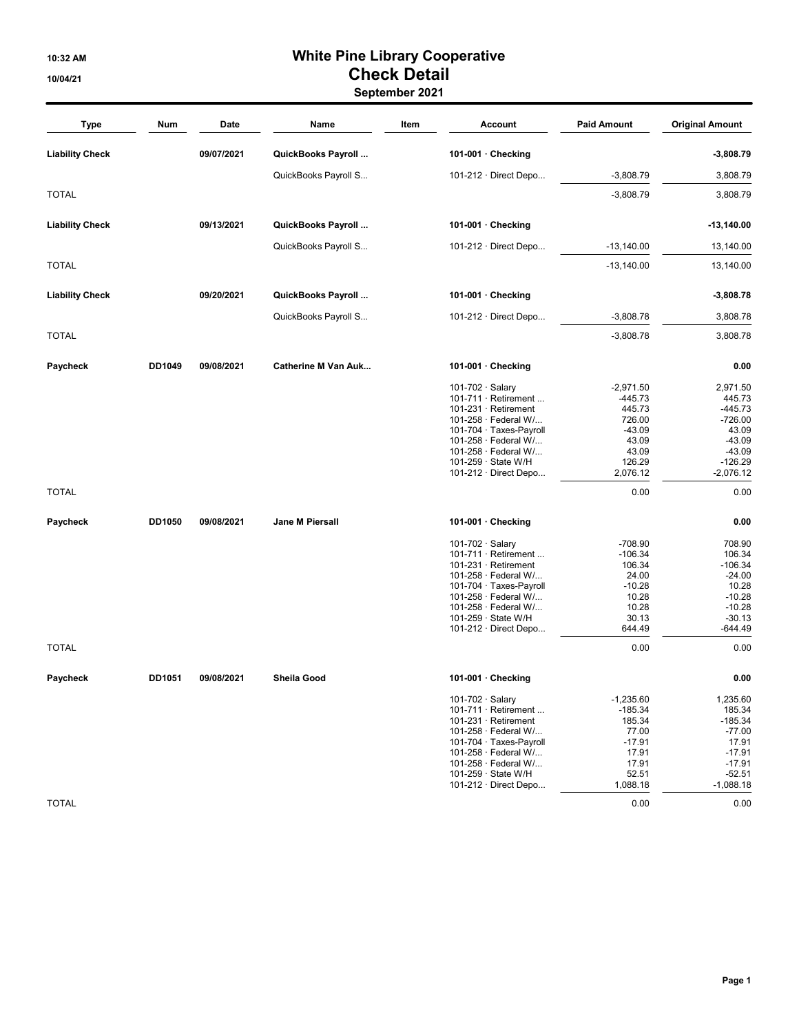## 10:32 AM White Pine Library Cooperative 10/04/21 Check Detail

#### September 2021

| Type                   | Num    | Date       | Name                       | Item |                        | Account                                                  | <b>Paid Amount</b>  | <b>Original Amount</b>   |
|------------------------|--------|------------|----------------------------|------|------------------------|----------------------------------------------------------|---------------------|--------------------------|
| <b>Liability Check</b> |        | 09/07/2021 | QuickBooks Payroll         |      |                        | 101-001 · Checking                                       |                     | $-3,808.79$              |
|                        |        |            | QuickBooks Payroll S       |      |                        | 101-212 $\cdot$ Direct Depo                              | $-3,808.79$         | 3,808.79                 |
| <b>TOTAL</b>           |        |            |                            |      |                        |                                                          | $-3,808.79$         | 3,808.79                 |
| <b>Liability Check</b> |        | 09/13/2021 | QuickBooks Payroll         |      |                        | 101-001 · Checking                                       |                     | -13,140.00               |
|                        |        |            | QuickBooks Payroll S       |      |                        | 101-212 $\cdot$ Direct Depo                              | $-13,140.00$        | 13,140.00                |
| <b>TOTAL</b>           |        |            |                            |      |                        |                                                          | $-13,140.00$        | 13,140.00                |
| <b>Liability Check</b> |        | 09/20/2021 | QuickBooks Payroll         |      |                        | 101-001 · Checking                                       |                     | $-3,808.78$              |
|                        |        |            | QuickBooks Payroll S       |      |                        | 101-212 $\cdot$ Direct Depo                              | $-3,808.78$         | 3,808.78                 |
| <b>TOTAL</b>           |        |            |                            |      |                        |                                                          | $-3,808.78$         | 3,808.78                 |
| Paycheck               | DD1049 | 09/08/2021 | <b>Catherine M Van Auk</b> |      |                        | 101-001 · Checking                                       |                     | 0.00                     |
|                        |        |            |                            |      | 101-702 $\cdot$ Salary |                                                          | $-2,971.50$         | 2,971.50                 |
|                        |        |            |                            |      |                        | 101-711 $\cdot$ Retirement<br>$101-231 \cdot$ Retirement | $-445.73$<br>445.73 | 445.73<br>$-445.73$      |
|                        |        |            |                            |      |                        | 101-258 · Federal W/                                     | 726.00              | $-726.00$                |
|                        |        |            |                            |      |                        | 101-704 · Taxes-Payroll                                  | $-43.09$            | 43.09                    |
|                        |        |            |                            |      |                        | 101-258 · Federal W/                                     | 43.09               | $-43.09$                 |
|                        |        |            |                            |      |                        | 101-258 · Federal W/                                     | 43.09               | $-43.09$                 |
|                        |        |            |                            |      |                        | 101-259 · State W/H<br>101-212 · Direct Depo             | 126.29<br>2,076.12  | $-126.29$<br>$-2,076.12$ |
| <b>TOTAL</b>           |        |            |                            |      |                        |                                                          | 0.00                | 0.00                     |
| Paycheck               | DD1050 | 09/08/2021 | Jane M Piersall            |      |                        | 101-001 · Checking                                       |                     | 0.00                     |
|                        |        |            |                            |      | 101-702 · Salary       |                                                          | $-708.90$           | 708.90                   |
|                        |        |            |                            |      |                        | 101-711 $\cdot$ Retirement                               | $-106.34$           | 106.34                   |
|                        |        |            |                            |      |                        | $101-231 \cdot$ Retirement                               | 106.34              | $-106.34$                |
|                        |        |            |                            |      |                        | 101-258 · Federal W/                                     | 24.00               | $-24.00$                 |
|                        |        |            |                            |      |                        | 101-704 · Taxes-Payroll                                  | $-10.28$            | 10.28                    |
|                        |        |            |                            |      |                        | 101-258 · Federal W/                                     | 10.28               | $-10.28$                 |
|                        |        |            |                            |      |                        | 101-258 · Federal W/<br>101-259 · State W/H              | 10.28<br>30.13      | $-10.28$<br>$-30.13$     |
|                        |        |            |                            |      |                        | 101-212 · Direct Depo                                    | 644.49              | -644.49                  |
| <b>TOTAL</b>           |        |            |                            |      |                        |                                                          | 0.00                | 0.00                     |
| Paycheck               | DD1051 | 09/08/2021 | Sheila Good                |      |                        | 101-001 $\cdot$ Checking                                 |                     | 0.00                     |
|                        |        |            |                            |      | 101-702 · Salary       |                                                          | $-1,235.60$         | 1,235.60                 |
|                        |        |            |                            |      |                        | 101-711 $\cdot$ Retirement                               | $-185.34$           | 185.34                   |
|                        |        |            |                            |      |                        | $101-231 \cdot$ Retirement                               | 185.34              | $-185.34$                |
|                        |        |            |                            |      |                        | 101-258 · Federal W/                                     | 77.00               | $-77.00$                 |
|                        |        |            |                            |      |                        | 101-704 · Taxes-Payroll                                  | $-17.91$            | 17.91                    |
|                        |        |            |                            |      |                        | 101-258 · Federal W/<br>101-258 $\cdot$ Federal W/       | 17.91<br>17.91      | $-17.91$<br>$-17.91$     |
|                        |        |            |                            |      |                        | 101-259 · State W/H                                      | 52.51               | $-52.51$                 |
|                        |        |            |                            |      |                        | 101-212 $\cdot$ Direct Depo                              | 1,088.18            | $-1,088.18$              |
| <b>TOTAL</b>           |        |            |                            |      |                        |                                                          | 0.00                | 0.00                     |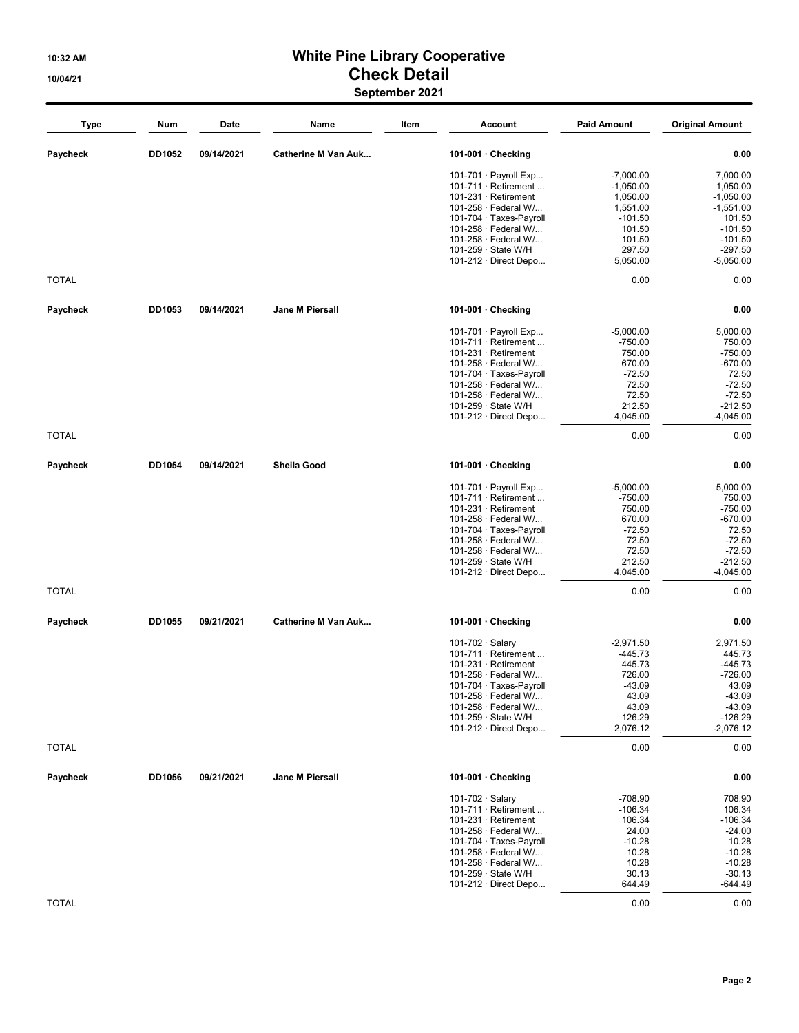# 10:32 AM White Pine Library Cooperative 10/04/21 Check Detail

| September 2021 |  |
|----------------|--|
|----------------|--|

| <b>Type</b>  | Num    | Date       | Name                       | Item | <b>Account</b>                                  | <b>Paid Amount</b> | <b>Original Amount</b> |
|--------------|--------|------------|----------------------------|------|-------------------------------------------------|--------------------|------------------------|
| Paycheck     | DD1052 | 09/14/2021 | <b>Catherine M Van Auk</b> |      | 101-001 $\cdot$ Checking                        |                    | 0.00                   |
|              |        |            |                            |      | 101-701 · Payroll Exp                           | $-7,000.00$        | 7,000.00               |
|              |        |            |                            |      | $101-711 \cdot$ Retirement                      | $-1,050.00$        | 1,050.00               |
|              |        |            |                            |      | $101-231 \cdot$ Retirement                      | 1,050.00           | $-1,050.00$            |
|              |        |            |                            |      | 101-258 · Federal W/                            | 1,551.00           | $-1,551.00$            |
|              |        |            |                            |      | 101-704 · Taxes-Payroll                         | $-101.50$          | 101.50                 |
|              |        |            |                            |      | 101-258 · Federal W/<br>101-258 · Federal W/    | 101.50<br>101.50   | $-101.50$<br>$-101.50$ |
|              |        |            |                            |      | 101-259 · State W/H                             | 297.50             | $-297.50$              |
|              |        |            |                            |      | 101-212 · Direct Depo                           | 5,050.00           | $-5,050.00$            |
| <b>TOTAL</b> |        |            |                            |      |                                                 | 0.00               | 0.00                   |
| Paycheck     | DD1053 | 09/14/2021 | Jane M Piersall            |      | 101-001 $\cdot$ Checking                        |                    | 0.00                   |
|              |        |            |                            |      | 101-701 $\cdot$ Payroll Exp                     | $-5,000.00$        | 5,000.00               |
|              |        |            |                            |      | $101-711 \cdot$ Retirement                      | $-750.00$          | 750.00                 |
|              |        |            |                            |      | $101-231 \cdot$ Retirement                      | 750.00             | $-750.00$              |
|              |        |            |                            |      | 101-258 · Federal W/                            | 670.00             | $-670.00$              |
|              |        |            |                            |      | 101-704 · Taxes-Payroll                         | $-72.50$           | 72.50                  |
|              |        |            |                            |      | 101-258 · Federal W/                            | 72.50              | $-72.50$               |
|              |        |            |                            |      | 101-258 · Federal W/                            | 72.50              | $-72.50$               |
|              |        |            |                            |      | 101-259 · State W/H                             | 212.50             | $-212.50$              |
|              |        |            |                            |      | 101-212 · Direct Depo                           | 4,045.00           | $-4,045.00$            |
| <b>TOTAL</b> |        |            |                            |      |                                                 | 0.00               | 0.00                   |
| Paycheck     | DD1054 | 09/14/2021 | Sheila Good                |      | 101-001 $\cdot$ Checking                        |                    | 0.00                   |
|              |        |            |                            |      | 101-701 $\cdot$ Payroll Exp                     | $-5,000.00$        | 5,000.00               |
|              |        |            |                            |      | 101-711 $\cdot$ Retirement                      | $-750.00$          | 750.00                 |
|              |        |            |                            |      | $101-231 \cdot$ Retirement                      | 750.00             | $-750.00$              |
|              |        |            |                            |      | 101-258 · Federal W/                            | 670.00             | $-670.00$              |
|              |        |            |                            |      | 101-704 · Taxes-Payroll                         | $-72.50$           | 72.50                  |
|              |        |            |                            |      | 101-258 · Federal W/                            | 72.50              | $-72.50$               |
|              |        |            |                            |      | 101-258 · Federal W/                            | 72.50              | $-72.50$               |
|              |        |            |                            |      | 101-259 · State W/H                             | 212.50             | $-212.50$              |
|              |        |            |                            |      | 101-212 · Direct Depo                           | 4,045.00           | $-4,045.00$            |
| <b>TOTAL</b> |        |            |                            |      |                                                 | 0.00               | 0.00                   |
| Paycheck     | DD1055 | 09/21/2021 | <b>Catherine M Van Auk</b> |      | 101-001 $\cdot$ Checking                        |                    | 0.00                   |
|              |        |            |                            |      | 101-702 $\cdot$ Salary                          | $-2.971.50$        | 2,971.50               |
|              |        |            |                            |      | $101-711 \cdot$ Retirement                      | -445.73            | 445.73                 |
|              |        |            |                            |      | $101-231 \cdot$ Retirement                      | 445.73             | $-445.73$              |
|              |        |            |                            |      | 101-258 · Federal W/                            | 726.00             | $-726.00$              |
|              |        |            |                            |      | 101-704 · Taxes-Payroll<br>101-258 · Federal W/ | $-43.09$<br>43.09  | 43.09<br>$-43.09$      |
|              |        |            |                            |      | 101-258 · Federal W/                            | 43.09              | $-43.09$               |
|              |        |            |                            |      | 101-259 · State W/H                             | 126.29             | $-126.29$              |
|              |        |            |                            |      | 101-212 $\cdot$ Direct Depo                     | 2,076.12           | $-2,076.12$            |
| <b>TOTAL</b> |        |            |                            |      |                                                 | 0.00               | 0.00                   |
| Paycheck     | DD1056 | 09/21/2021 | Jane M Piersall            |      | 101-001 $\cdot$ Checking                        |                    | 0.00                   |
|              |        |            |                            |      | 101-702 $\cdot$ Salary                          | $-708.90$          | 708.90                 |
|              |        |            |                            |      | 101-711 · Retirement                            | $-106.34$          | 106.34                 |
|              |        |            |                            |      | $101-231 \cdot$ Retirement                      | 106.34             | $-106.34$              |
|              |        |            |                            |      | 101-258 · Federal W/                            | 24.00              | $-24.00$               |
|              |        |            |                            |      | 101-704 · Taxes-Payroll                         | $-10.28$           | 10.28                  |
|              |        |            |                            |      | 101-258 · Federal W/                            | 10.28              | $-10.28$               |
|              |        |            |                            |      | 101-258 · Federal W/                            | 10.28              | $-10.28$               |
|              |        |            |                            |      | 101-259 · State W/H                             | 30.13              | $-30.13$               |
|              |        |            |                            |      | 101-212 · Direct Depo                           | 644.49             | -644.49                |
| <b>TOTAL</b> |        |            |                            |      |                                                 | 0.00               | 0.00                   |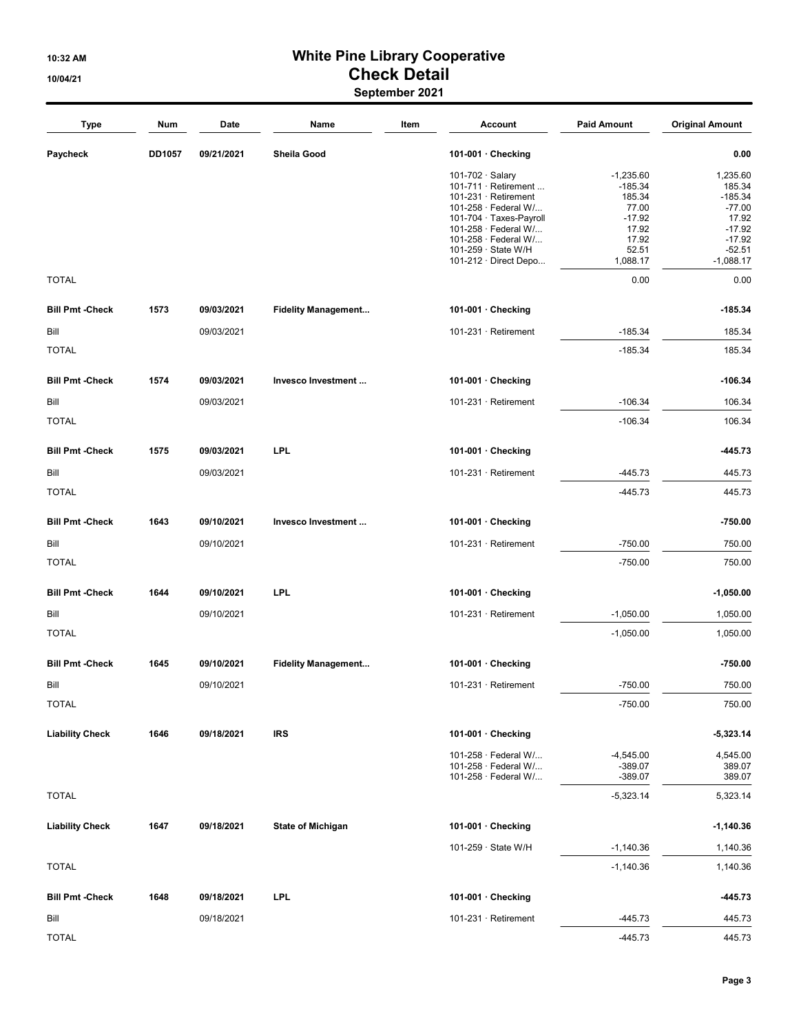#### 10:32 AM White Pine Library Cooperative 10/04/21 Check Detail September 2021

| Type                   | Num           | Date       | Name                       | Item | <b>Account</b>                                     | <b>Paid Amount</b>         | <b>Original Amount</b> |
|------------------------|---------------|------------|----------------------------|------|----------------------------------------------------|----------------------------|------------------------|
| Paycheck               | <b>DD1057</b> | 09/21/2021 | Sheila Good                |      | 101-001 · Checking                                 |                            | 0.00                   |
|                        |               |            |                            |      | 101-702 · Salary                                   | $-1,235.60$                | 1,235.60               |
|                        |               |            |                            |      | 101-711 $\cdot$ Retirement                         | $-185.34$                  | 185.34                 |
|                        |               |            |                            |      | $101-231 \cdot$ Retirement<br>101-258 · Federal W/ | 185.34<br>77.00            | $-185.34$<br>$-77.00$  |
|                        |               |            |                            |      | 101-704 · Taxes-Payroll                            | $-17.92$                   | 17.92                  |
|                        |               |            |                            |      | 101-258 · Federal W/                               | 17.92                      | $-17.92$               |
|                        |               |            |                            |      | 101-258 · Federal W/                               | 17.92                      | $-17.92$               |
|                        |               |            |                            |      | 101-259 · State W/H                                | 52.51                      | $-52.51$               |
| <b>TOTAL</b>           |               |            |                            |      | 101-212 $\cdot$ Direct Depo                        | 1,088.17<br>0.00           | $-1,088.17$<br>0.00    |
|                        |               |            |                            |      |                                                    |                            |                        |
| <b>Bill Pmt -Check</b> | 1573          | 09/03/2021 | <b>Fidelity Management</b> |      | 101-001 $\cdot$ Checking                           |                            | $-185.34$              |
| Bill                   |               | 09/03/2021 |                            |      | 101-231 · Retirement                               | $-185.34$                  | 185.34                 |
| <b>TOTAL</b>           |               |            |                            |      |                                                    | $-185.34$                  | 185.34                 |
| <b>Bill Pmt -Check</b> | 1574          | 09/03/2021 | Invesco Investment         |      | 101-001 $\cdot$ Checking                           |                            | $-106.34$              |
| Bill                   |               | 09/03/2021 |                            |      | $101-231 \cdot$ Retirement                         | $-106.34$                  | 106.34                 |
| <b>TOTAL</b>           |               |            |                            |      |                                                    | $-106.34$                  | 106.34                 |
| <b>Bill Pmt -Check</b> | 1575          | 09/03/2021 | <b>LPL</b>                 |      | 101-001 $\cdot$ Checking                           |                            | $-445.73$              |
| Bill                   |               | 09/03/2021 |                            |      | 101-231 · Retirement                               | $-445.73$                  | 445.73                 |
| <b>TOTAL</b>           |               |            |                            |      |                                                    | $-445.73$                  | 445.73                 |
| <b>Bill Pmt -Check</b> | 1643          | 09/10/2021 | Invesco Investment         |      | 101-001 $\cdot$ Checking                           |                            | $-750.00$              |
| Bill                   |               | 09/10/2021 |                            |      | $101-231 \cdot$ Retirement                         | $-750.00$                  | 750.00                 |
| <b>TOTAL</b>           |               |            |                            |      |                                                    | $-750.00$                  | 750.00                 |
| <b>Bill Pmt -Check</b> | 1644          | 09/10/2021 | <b>LPL</b>                 |      | 101-001 $\cdot$ Checking                           |                            | -1,050.00              |
| Bill                   |               | 09/10/2021 |                            |      | 101-231 · Retirement                               | $-1,050.00$                | 1,050.00               |
| <b>TOTAL</b>           |               |            |                            |      |                                                    | $-1,050.00$                | 1,050.00               |
| <b>Bill Pmt -Check</b> | 1645          | 09/10/2021 | <b>Fidelity Management</b> |      | 101-001 $\cdot$ Checking                           |                            | -750.00                |
| Bill                   |               | 09/10/2021 |                            |      | $101-231 \cdot$ Retirement                         | $-750.00$                  | 750.00                 |
| <b>TOTAL</b>           |               |            |                            |      |                                                    | $-750.00$                  | 750.00                 |
|                        |               |            |                            |      |                                                    |                            |                        |
| <b>Liability Check</b> | 1646          | 09/18/2021 | <b>IRS</b>                 |      | 101-001 $\cdot$ Checking                           |                            | -5,323.14              |
|                        |               |            |                            |      | 101-258 · Federal W/<br>101-258 · Federal W/       | $-4,545.00$<br>$-389.07$   | 4,545.00<br>389.07     |
|                        |               |            |                            |      | 101-258 · Federal W/                               | $-389.07$                  | 389.07                 |
| <b>TOTAL</b>           |               |            |                            |      |                                                    | $-5,323.14$                | 5,323.14               |
|                        |               |            |                            |      |                                                    |                            |                        |
| <b>Liability Check</b> | 1647          | 09/18/2021 | <b>State of Michigan</b>   |      | 101-001 $\cdot$ Checking                           |                            | $-1,140.36$            |
| <b>TOTAL</b>           |               |            |                            |      | 101-259 · State W/H                                | $-1,140.36$<br>$-1,140.36$ | 1,140.36<br>1,140.36   |
|                        |               |            |                            |      |                                                    |                            |                        |
| <b>Bill Pmt -Check</b> | 1648          | 09/18/2021 | <b>LPL</b>                 |      | 101-001 · Checking                                 |                            | -445.73                |
| Bill<br><b>TOTAL</b>   |               | 09/18/2021 |                            |      | 101-231 · Retirement                               | $-445.73$                  | 445.73                 |
|                        |               |            |                            |      |                                                    | $-445.73$                  | 445.73                 |